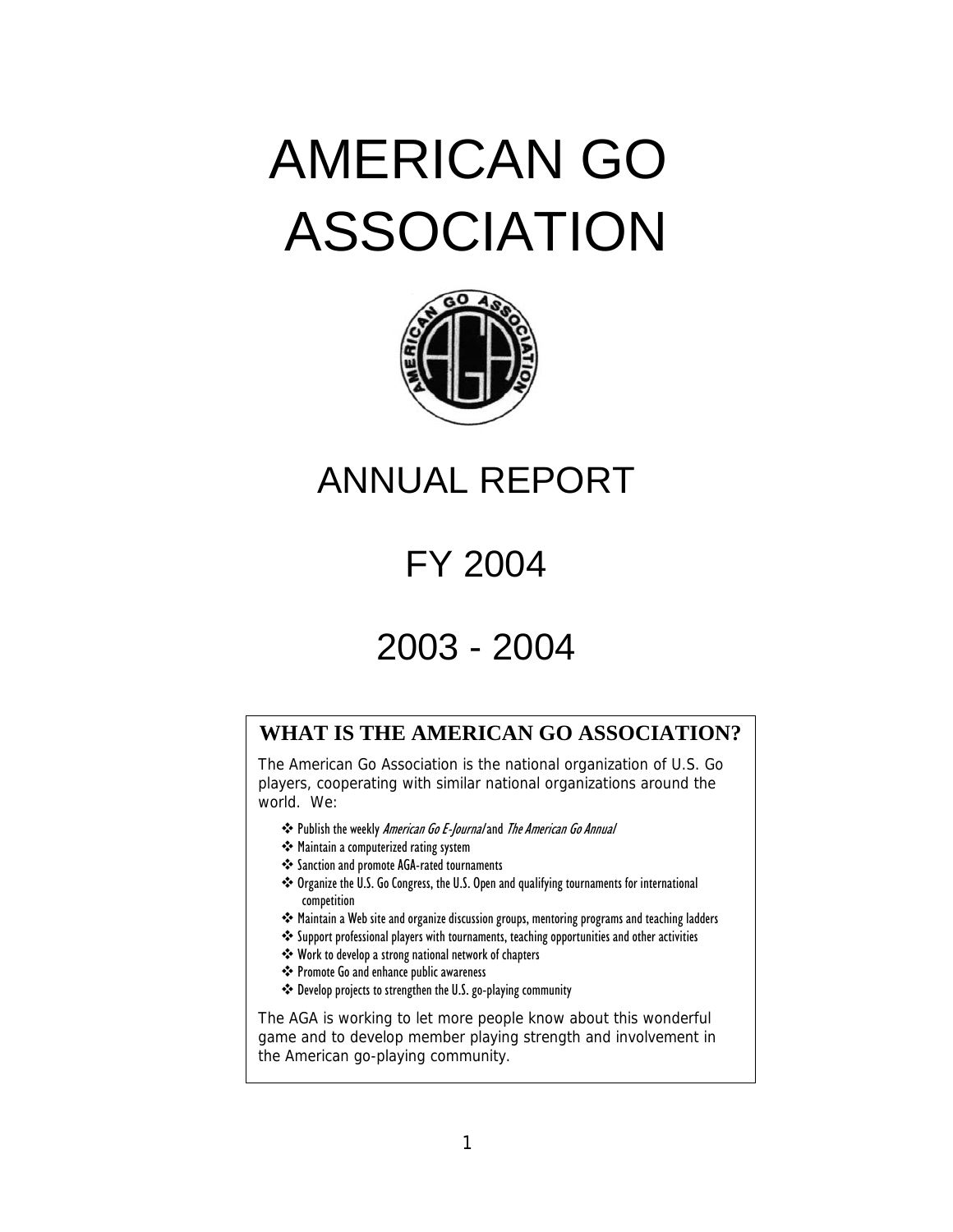# AMERICAN GO ASSOCIATION



# ANNUAL REPORT

# FY 2004

# 2003 - 2004

# **WHAT IS THE AMERICAN GO ASSOCIATION?**

The American Go Association is the national organization of U.S. Go players, cooperating with similar national organizations around the world. We:

- \* Publish the weekly American Go E-Journal and The American Go Annual
- Maintain a computerized rating system
- Sanction and promote AGA-rated tournaments
- \* Organize the U.S. Go Congress, the U.S. Open and qualifying tournaments for international competition
- \*\* Maintain a Web site and organize discussion groups, mentoring programs and teaching ladders
- Support professional players with tournaments, teaching opportunities and other activities
- Work to develop a strong national network of chapters
- Promote Go and enhance public awareness
- Develop projects to strengthen the U.S. go-playing community

The AGA is working to let more people know about this wonderful game and to develop member playing strength and involvement in the American go-playing community.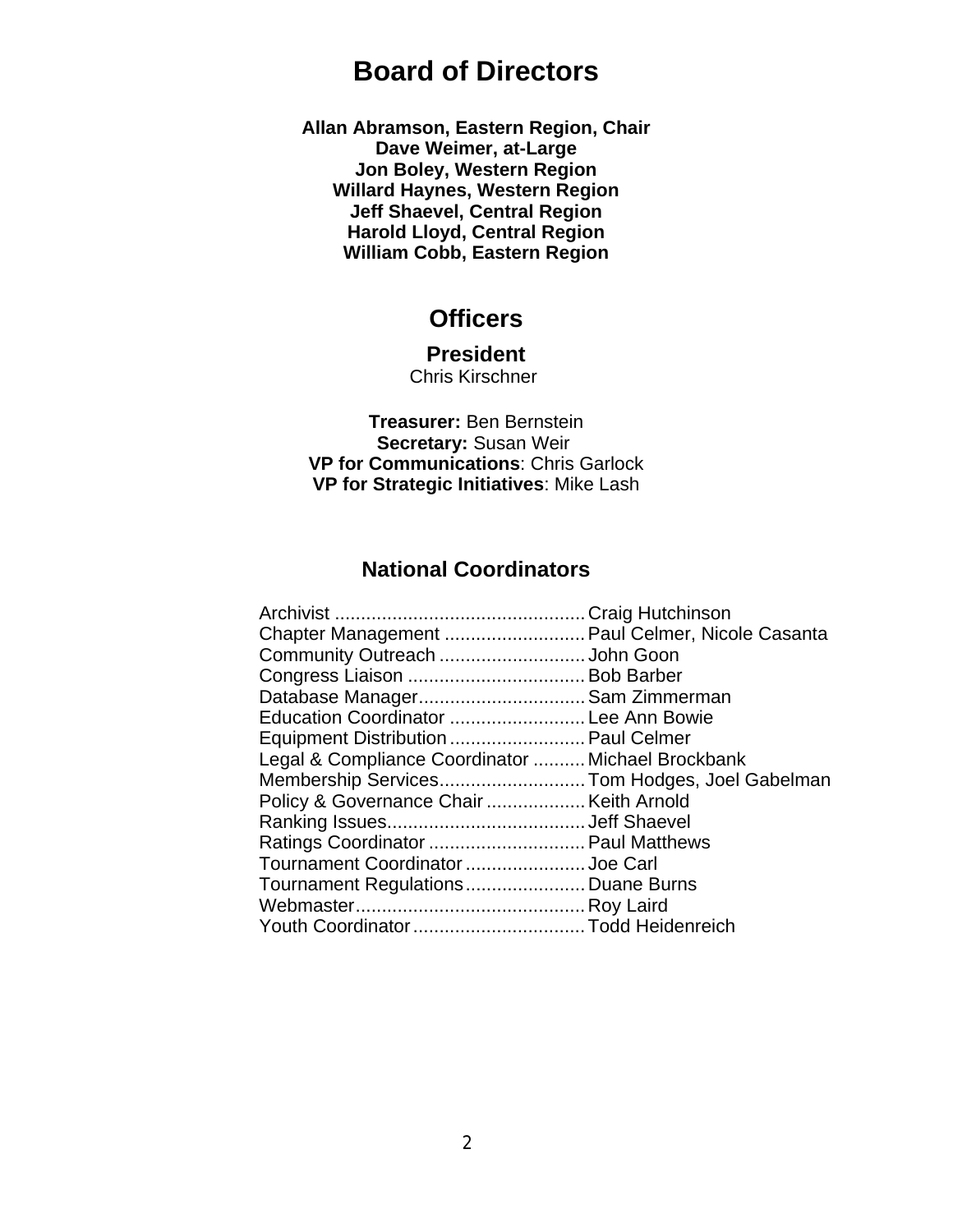# **Board of Directors**

**Allan Abramson, Eastern Region, Chair Dave Weimer, at-Large Jon Boley, Western Region Willard Haynes, Western Region Jeff Shaevel, Central Region Harold Lloyd, Central Region William Cobb, Eastern Region**

# **Officers**

# **President**

Chris Kirschner

**Treasurer:** Ben Bernstein **Secretary:** Susan Weir **VP for Communications**: Chris Garlock **VP for Strategic Initiatives**: Mike Lash

# **National Coordinators**

| Chapter Management  Paul Celmer, Nicole Casanta   |  |
|---------------------------------------------------|--|
| Community Outreach John Goon                      |  |
|                                                   |  |
| Database Manager Sam Zimmerman                    |  |
| Education Coordinator  Lee Ann Bowie              |  |
| Equipment Distribution  Paul Celmer               |  |
| Legal & Compliance Coordinator  Michael Brockbank |  |
| Membership ServicesTom Hodges, Joel Gabelman      |  |
|                                                   |  |
|                                                   |  |
| Ratings Coordinator  Paul Matthews                |  |
| Tournament Coordinator  Joe Carl                  |  |
| Tournament Regulations Duane Burns                |  |
|                                                   |  |
|                                                   |  |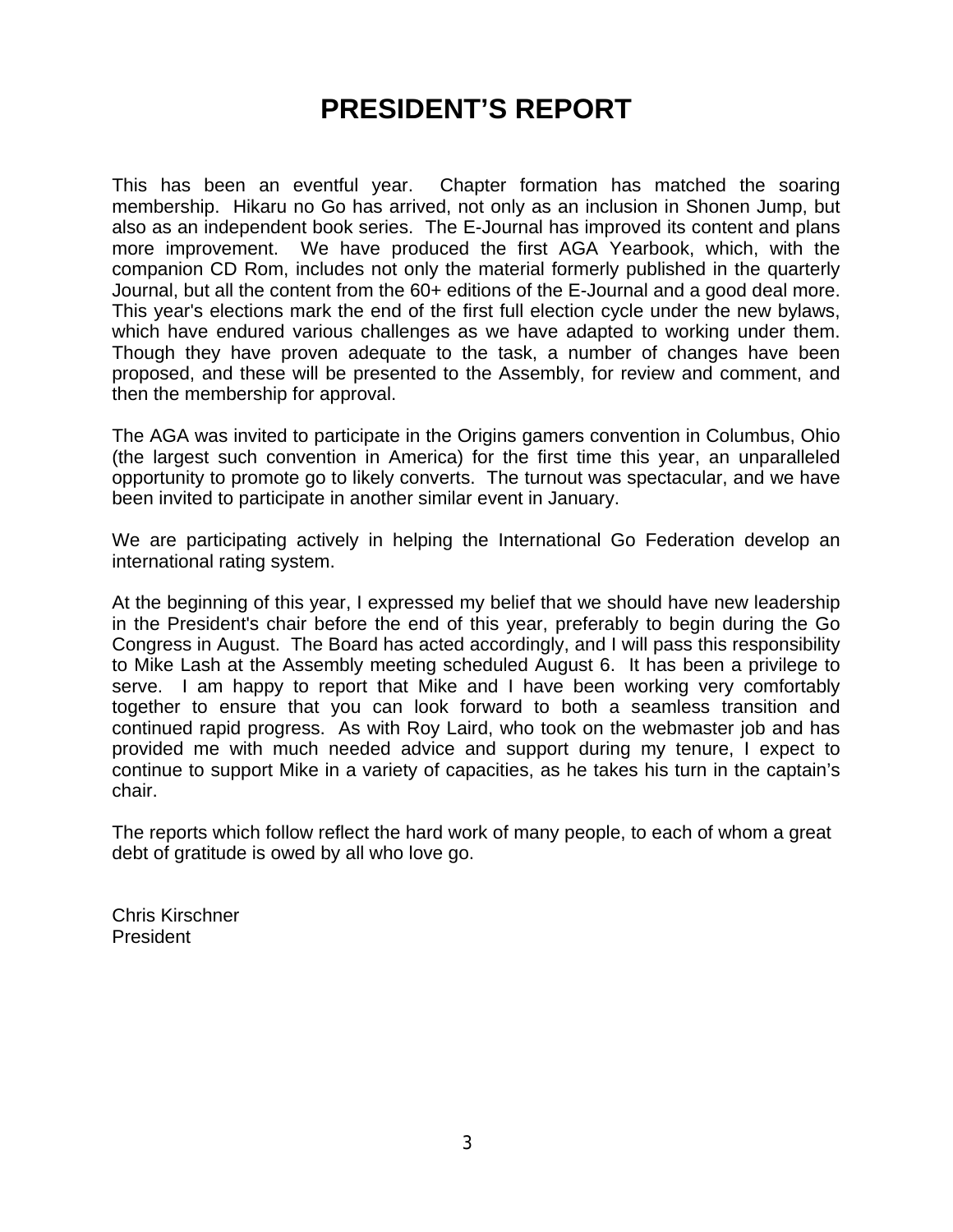# **PRESIDENT'S REPORT**

This has been an eventful year. Chapter formation has matched the soaring membership. Hikaru no Go has arrived, not only as an inclusion in Shonen Jump, but also as an independent book series. The E-Journal has improved its content and plans more improvement. We have produced the first AGA Yearbook, which, with the companion CD Rom, includes not only the material formerly published in the quarterly Journal, but all the content from the 60+ editions of the E-Journal and a good deal more. This year's elections mark the end of the first full election cycle under the new bylaws, which have endured various challenges as we have adapted to working under them. Though they have proven adequate to the task, a number of changes have been proposed, and these will be presented to the Assembly, for review and comment, and then the membership for approval.

The AGA was invited to participate in the Origins gamers convention in Columbus, Ohio (the largest such convention in America) for the first time this year, an unparalleled opportunity to promote go to likely converts. The turnout was spectacular, and we have been invited to participate in another similar event in January.

We are participating actively in helping the International Go Federation develop an international rating system.

At the beginning of this year, I expressed my belief that we should have new leadership in the President's chair before the end of this year, preferably to begin during the Go Congress in August. The Board has acted accordingly, and I will pass this responsibility to Mike Lash at the Assembly meeting scheduled August 6. It has been a privilege to serve. I am happy to report that Mike and I have been working very comfortably together to ensure that you can look forward to both a seamless transition and continued rapid progress. As with Roy Laird, who took on the webmaster job and has provided me with much needed advice and support during my tenure, I expect to continue to support Mike in a variety of capacities, as he takes his turn in the captain's chair.

The reports which follow reflect the hard work of many people, to each of whom a great debt of gratitude is owed by all who love go.

Chris Kirschner President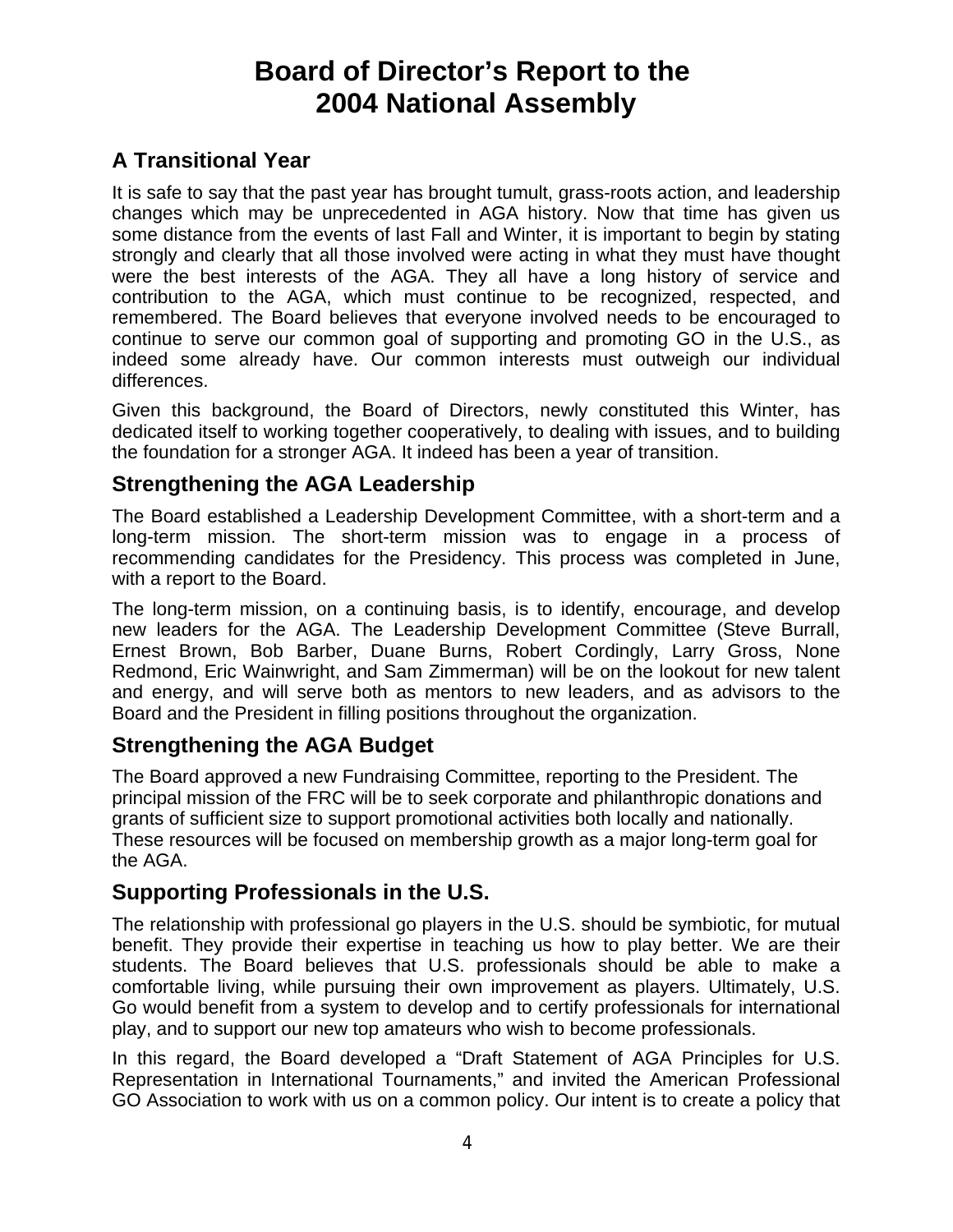# **Board of Director's Report to the 2004 National Assembly**

# **A Transitional Year**

It is safe to say that the past year has brought tumult, grass-roots action, and leadership changes which may be unprecedented in AGA history. Now that time has given us some distance from the events of last Fall and Winter, it is important to begin by stating strongly and clearly that all those involved were acting in what they must have thought were the best interests of the AGA. They all have a long history of service and contribution to the AGA, which must continue to be recognized, respected, and remembered. The Board believes that everyone involved needs to be encouraged to continue to serve our common goal of supporting and promoting GO in the U.S., as indeed some already have. Our common interests must outweigh our individual differences.

Given this background, the Board of Directors, newly constituted this Winter, has dedicated itself to working together cooperatively, to dealing with issues, and to building the foundation for a stronger AGA. It indeed has been a year of transition.

# **Strengthening the AGA Leadership**

The Board established a Leadership Development Committee, with a short-term and a long-term mission. The short-term mission was to engage in a process of recommending candidates for the Presidency. This process was completed in June, with a report to the Board.

The long-term mission, on a continuing basis, is to identify, encourage, and develop new leaders for the AGA. The Leadership Development Committee (Steve Burrall, Ernest Brown, Bob Barber, Duane Burns, Robert Cordingly, Larry Gross, None Redmond, Eric Wainwright, and Sam Zimmerman) will be on the lookout for new talent and energy, and will serve both as mentors to new leaders, and as advisors to the Board and the President in filling positions throughout the organization.

# **Strengthening the AGA Budget**

The Board approved a new Fundraising Committee, reporting to the President. The principal mission of the FRC will be to seek corporate and philanthropic donations and grants of sufficient size to support promotional activities both locally and nationally. These resources will be focused on membership growth as a major long-term goal for the AGA.

# **Supporting Professionals in the U.S.**

The relationship with professional go players in the U.S. should be symbiotic, for mutual benefit. They provide their expertise in teaching us how to play better. We are their students. The Board believes that U.S. professionals should be able to make a comfortable living, while pursuing their own improvement as players. Ultimately, U.S. Go would benefit from a system to develop and to certify professionals for international play, and to support our new top amateurs who wish to become professionals.

In this regard, the Board developed a "Draft Statement of AGA Principles for U.S. Representation in International Tournaments," and invited the American Professional GO Association to work with us on a common policy. Our intent is to create a policy that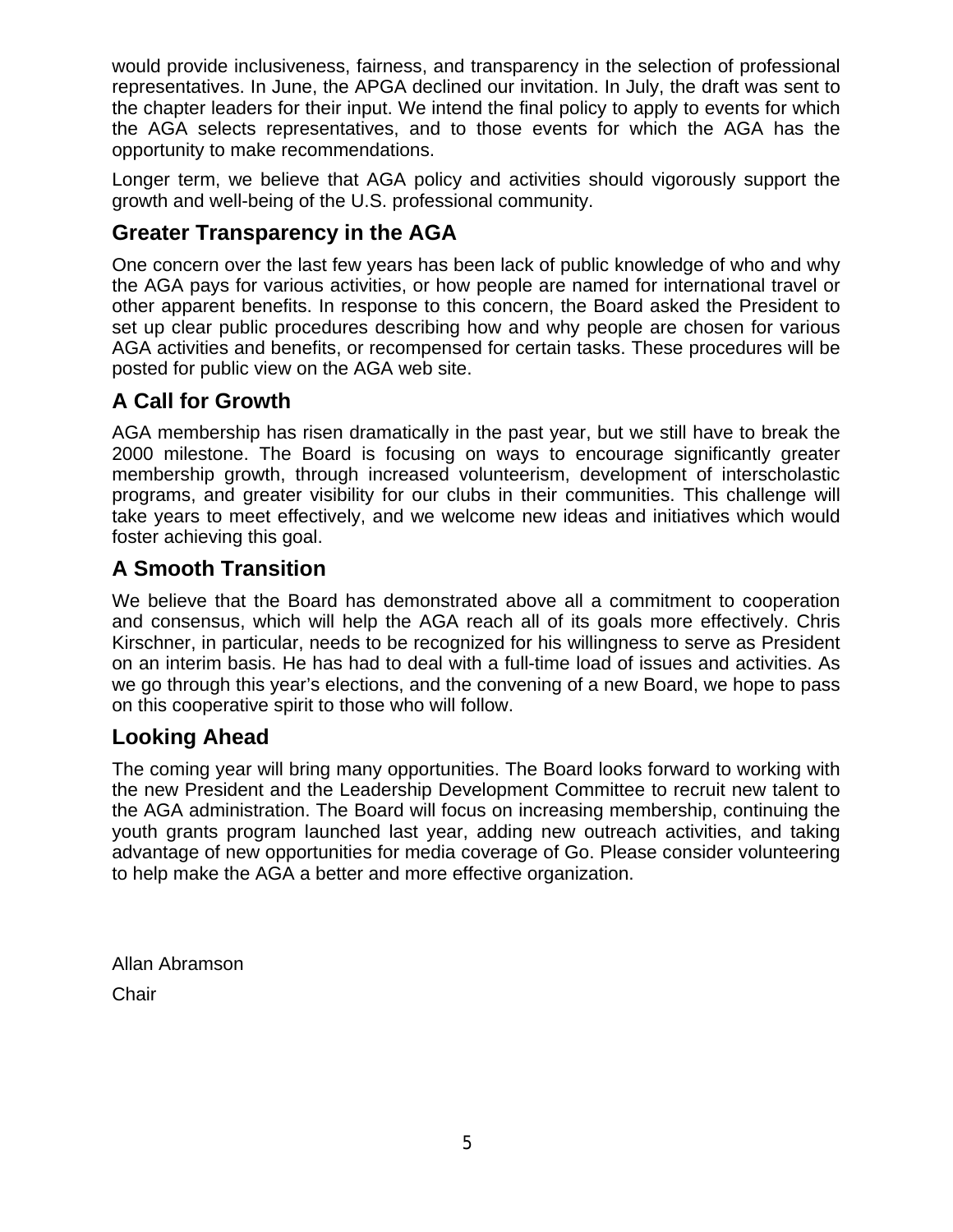would provide inclusiveness, fairness, and transparency in the selection of professional representatives. In June, the APGA declined our invitation. In July, the draft was sent to the chapter leaders for their input. We intend the final policy to apply to events for which the AGA selects representatives, and to those events for which the AGA has the opportunity to make recommendations.

Longer term, we believe that AGA policy and activities should vigorously support the growth and well-being of the U.S. professional community.

# **Greater Transparency in the AGA**

One concern over the last few years has been lack of public knowledge of who and why the AGA pays for various activities, or how people are named for international travel or other apparent benefits. In response to this concern, the Board asked the President to set up clear public procedures describing how and why people are chosen for various AGA activities and benefits, or recompensed for certain tasks. These procedures will be posted for public view on the AGA web site.

# **A Call for Growth**

AGA membership has risen dramatically in the past year, but we still have to break the 2000 milestone. The Board is focusing on ways to encourage significantly greater membership growth, through increased volunteerism, development of interscholastic programs, and greater visibility for our clubs in their communities. This challenge will take years to meet effectively, and we welcome new ideas and initiatives which would foster achieving this goal.

# **A Smooth Transition**

We believe that the Board has demonstrated above all a commitment to cooperation and consensus, which will help the AGA reach all of its goals more effectively. Chris Kirschner, in particular, needs to be recognized for his willingness to serve as President on an interim basis. He has had to deal with a full-time load of issues and activities. As we go through this year's elections, and the convening of a new Board, we hope to pass on this cooperative spirit to those who will follow.

# **Looking Ahead**

The coming year will bring many opportunities. The Board looks forward to working with the new President and the Leadership Development Committee to recruit new talent to the AGA administration. The Board will focus on increasing membership, continuing the youth grants program launched last year, adding new outreach activities, and taking advantage of new opportunities for media coverage of Go. Please consider volunteering to help make the AGA a better and more effective organization.

Allan Abramson **Chair**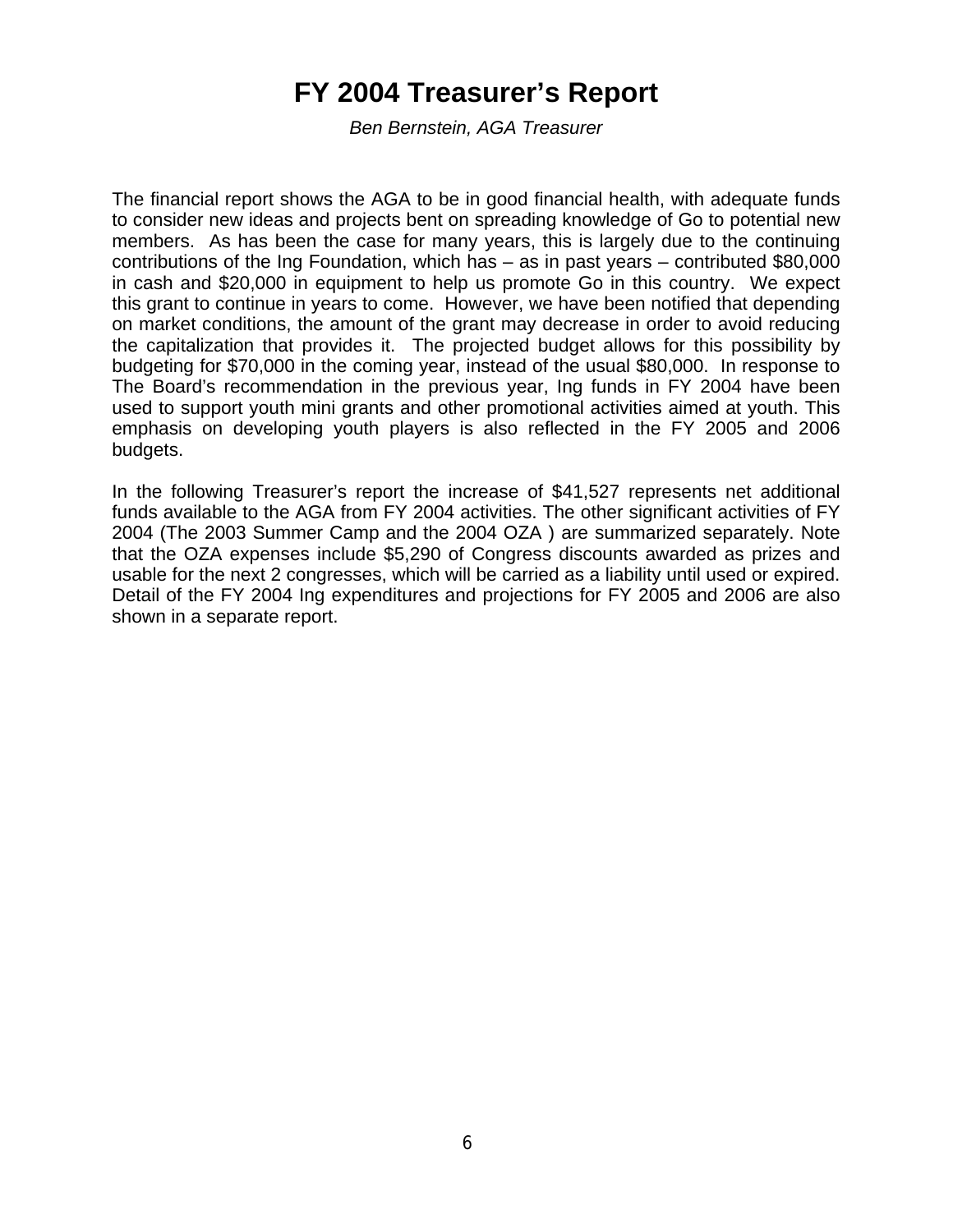# **FY 2004 Treasurer's Report**

*Ben Bernstein, AGA Treasurer*

The financial report shows the AGA to be in good financial health, with adequate funds to consider new ideas and projects bent on spreading knowledge of Go to potential new members. As has been the case for many years, this is largely due to the continuing contributions of the Ing Foundation, which has – as in past years – contributed \$80,000 in cash and \$20,000 in equipment to help us promote Go in this country. We expect this grant to continue in years to come. However, we have been notified that depending on market conditions, the amount of the grant may decrease in order to avoid reducing the capitalization that provides it. The projected budget allows for this possibility by budgeting for \$70,000 in the coming year, instead of the usual \$80,000. In response to The Board's recommendation in the previous year, Ing funds in FY 2004 have been used to support youth mini grants and other promotional activities aimed at youth. This emphasis on developing youth players is also reflected in the FY 2005 and 2006 budgets.

In the following Treasurer's report the increase of \$41,527 represents net additional funds available to the AGA from FY 2004 activities. The other significant activities of FY 2004 (The 2003 Summer Camp and the 2004 OZA ) are summarized separately. Note that the OZA expenses include \$5,290 of Congress discounts awarded as prizes and usable for the next 2 congresses, which will be carried as a liability until used or expired. Detail of the FY 2004 Ing expenditures and projections for FY 2005 and 2006 are also shown in a separate report.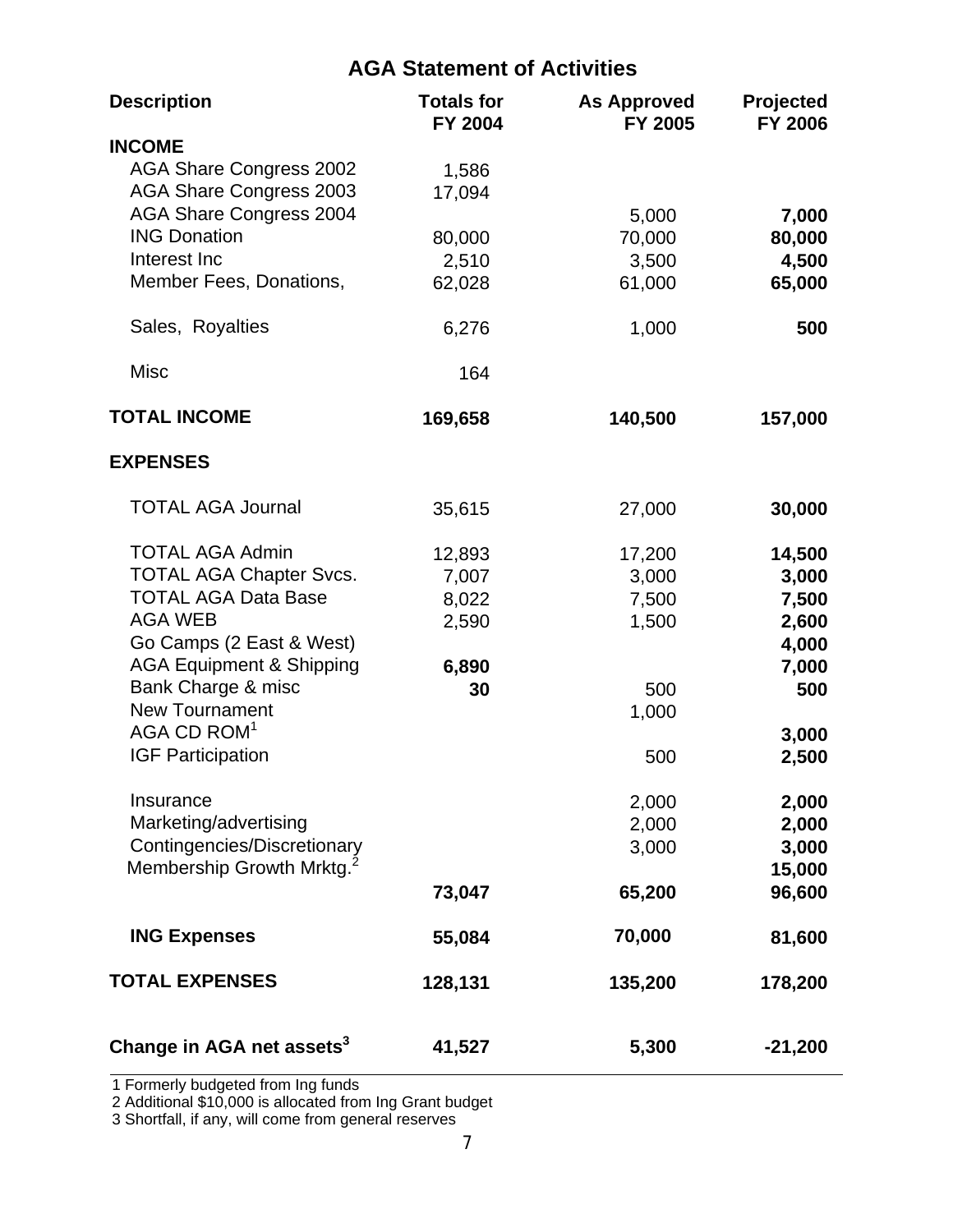# **AGA Statement of Activities**

| <b>Description</b>                    | <b>Totals for</b><br><b>FY 2004</b> | <b>As Approved</b><br>FY 2005 | Projected<br><b>FY 2006</b> |
|---------------------------------------|-------------------------------------|-------------------------------|-----------------------------|
| <b>INCOME</b>                         |                                     |                               |                             |
| <b>AGA Share Congress 2002</b>        | 1,586                               |                               |                             |
| <b>AGA Share Congress 2003</b>        | 17,094                              |                               |                             |
| <b>AGA Share Congress 2004</b>        |                                     | 5,000                         | 7,000                       |
| <b>ING Donation</b>                   | 80,000                              | 70,000                        |                             |
| Interest Inc                          |                                     |                               | 80,000                      |
| Member Fees, Donations,               | 2,510                               | 3,500                         | 4,500                       |
|                                       | 62,028                              | 61,000                        | 65,000                      |
| Sales, Royalties                      | 6,276                               | 1,000                         | 500                         |
| <b>Misc</b>                           | 164                                 |                               |                             |
| <b>TOTAL INCOME</b>                   | 169,658                             | 140,500                       | 157,000                     |
| <b>EXPENSES</b>                       |                                     |                               |                             |
|                                       |                                     |                               |                             |
| <b>TOTAL AGA Journal</b>              | 35,615                              | 27,000                        | 30,000                      |
| <b>TOTAL AGA Admin</b>                | 12,893                              | 17,200                        | 14,500                      |
| <b>TOTAL AGA Chapter Svcs.</b>        | 7,007                               | 3,000                         | 3,000                       |
| <b>TOTAL AGA Data Base</b>            | 8,022                               | 7,500                         | 7,500                       |
| <b>AGA WEB</b>                        | 2,590                               | 1,500                         | 2,600                       |
| Go Camps (2 East & West)              |                                     |                               | 4,000                       |
| <b>AGA Equipment &amp; Shipping</b>   | 6,890                               |                               | 7,000                       |
| Bank Charge & misc                    | 30                                  | 500                           | 500                         |
| <b>New Tournament</b>                 |                                     | 1,000                         |                             |
| AGA CD ROM <sup>1</sup>               |                                     |                               | 3,000                       |
| <b>IGF Participation</b>              |                                     |                               |                             |
|                                       |                                     | 500                           | 2,500                       |
| Insurance                             |                                     | 2,000                         | 2,000                       |
| Marketing/advertising                 |                                     | 2,000                         | 2,000                       |
| Contingencies/Discretionary           |                                     | 3,000                         | 3,000                       |
| Membership Growth Mrktg. <sup>2</sup> |                                     |                               | 15,000                      |
|                                       | 73,047                              | 65,200                        | 96,600                      |
|                                       |                                     |                               |                             |
| <b>ING Expenses</b>                   | 55,084                              | 70,000                        | 81,600                      |
| <b>TOTAL EXPENSES</b>                 | 128,131                             | 135,200                       | 178,200                     |
| Change in AGA net assets <sup>3</sup> | 41,527                              | 5,300                         | $-21,200$                   |

1 Formerly budgeted from Ing funds

2 Additional \$10,000 is allocated from Ing Grant budget

3 Shortfall, if any, will come from general reserves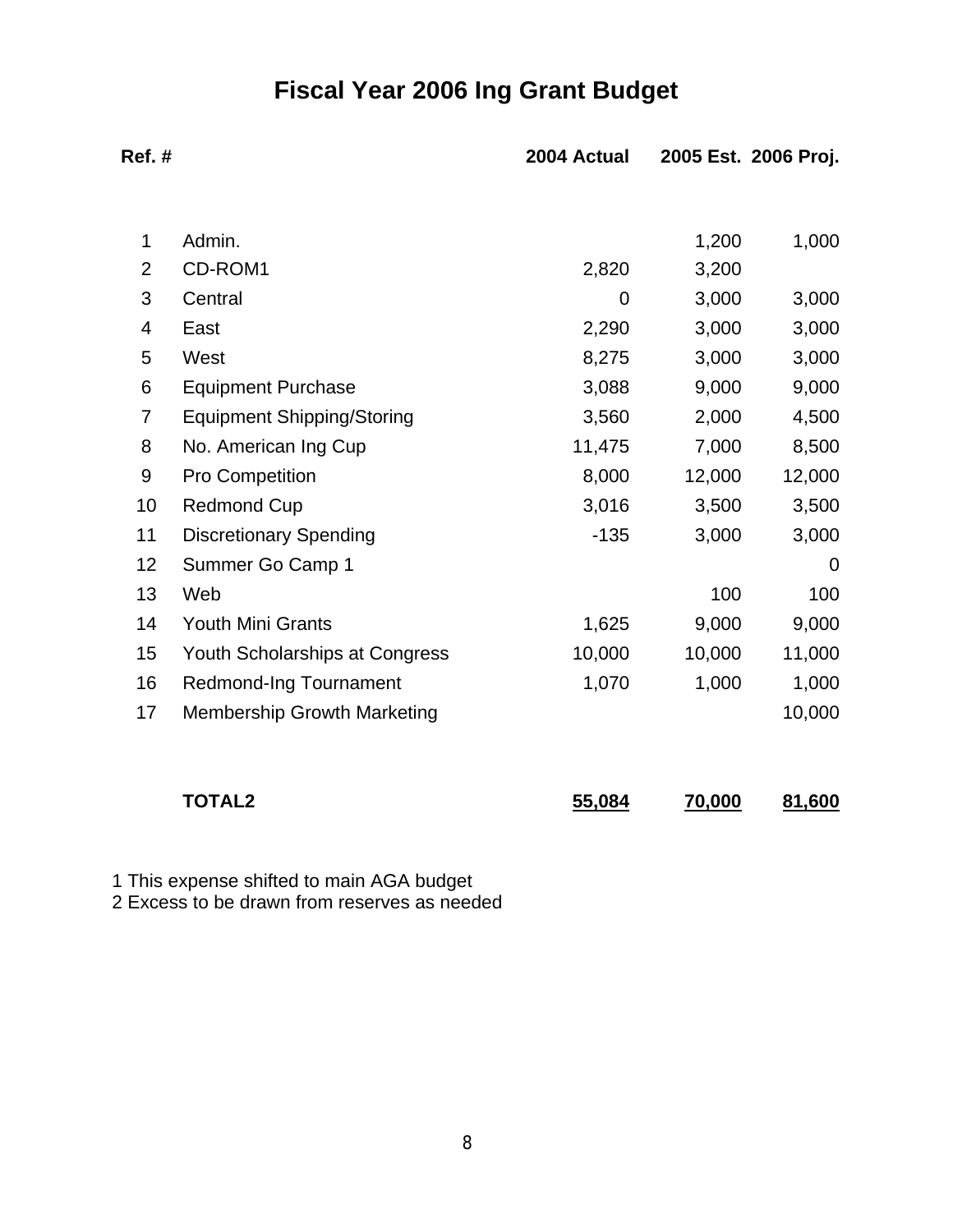# **Fiscal Year 2006 Ing Grant Budget**

| Ref.#          |                                    | 2004 Actual    |        | 2005 Est. 2006 Proj. |
|----------------|------------------------------------|----------------|--------|----------------------|
|                |                                    |                |        |                      |
| 1              | Admin.                             |                | 1,200  | 1,000                |
| $\overline{2}$ | CD-ROM1                            | 2,820          | 3,200  |                      |
| 3              | Central                            | $\overline{0}$ | 3,000  | 3,000                |
| 4              | East                               | 2,290          | 3,000  | 3,000                |
| 5              | West                               | 8,275          | 3,000  | 3,000                |
| 6              | <b>Equipment Purchase</b>          | 3,088          | 9,000  | 9,000                |
| 7              | <b>Equipment Shipping/Storing</b>  | 3,560          | 2,000  | 4,500                |
| 8              | No. American Ing Cup               | 11,475         | 7,000  | 8,500                |
| 9              | Pro Competition                    | 8,000          | 12,000 | 12,000               |
| 10             | <b>Redmond Cup</b>                 | 3,016          | 3,500  | 3,500                |
| 11             | <b>Discretionary Spending</b>      | $-135$         | 3,000  | 3,000                |
| 12             | Summer Go Camp 1                   |                |        | 0                    |
| 13             | Web                                |                | 100    | 100                  |
| 14             | <b>Youth Mini Grants</b>           | 1,625          | 9,000  | 9,000                |
| 15             | Youth Scholarships at Congress     | 10,000         | 10,000 | 11,000               |
| 16             | <b>Redmond-Ing Tournament</b>      | 1,070          | 1,000  | 1,000                |
| 17             | <b>Membership Growth Marketing</b> |                |        | 10,000               |
|                | <b>TOTAL2</b>                      | 55,084         | 70,000 | 81,600               |

1 This expense shifted to main AGA budget

2 Excess to be drawn from reserves as needed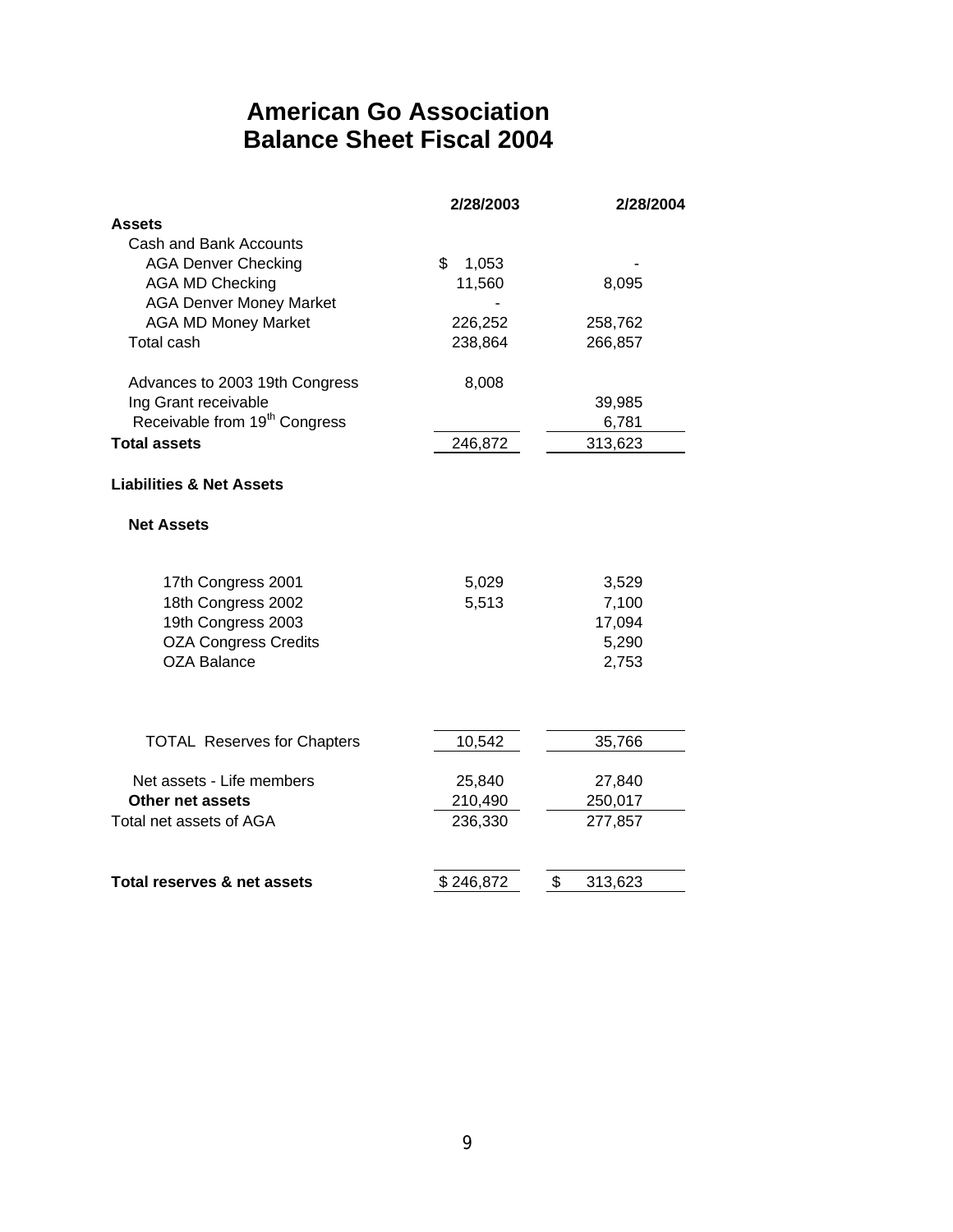# **American Go Association Balance Sheet Fiscal 2004**

|                                           | 2/28/2003   | 2/28/2004     |
|-------------------------------------------|-------------|---------------|
| Assets                                    |             |               |
| Cash and Bank Accounts                    |             |               |
| <b>AGA Denver Checking</b>                | \$<br>1,053 |               |
| <b>AGA MD Checking</b>                    | 11,560      | 8,095         |
| <b>AGA Denver Money Market</b>            |             |               |
| <b>AGA MD Money Market</b>                | 226,252     | 258,762       |
| <b>Total cash</b>                         | 238,864     | 266,857       |
| Advances to 2003 19th Congress            | 8,008       |               |
| Ing Grant receivable                      |             | 39,985        |
| Receivable from 19 <sup>th</sup> Congress |             | 6,781         |
| <b>Total assets</b>                       | 246,872     | 313,623       |
| <b>Liabilities &amp; Net Assets</b>       |             |               |
| <b>Net Assets</b>                         |             |               |
| 17th Congress 2001                        | 5,029       | 3,529         |
| 18th Congress 2002                        | 5,513       | 7,100         |
| 19th Congress 2003                        |             | 17,094        |
| <b>OZA Congress Credits</b>               |             | 5,290         |
| <b>OZA Balance</b>                        |             | 2,753         |
|                                           |             |               |
| <b>TOTAL Reserves for Chapters</b>        | 10,542      | 35,766        |
| Net assets - Life members                 | 25,840      | 27,840        |
| Other net assets                          | 210,490     | 250,017       |
| Total net assets of AGA                   | 236,330     | 277,857       |
| Total reserves & net assets               | \$246,872   | \$<br>313,623 |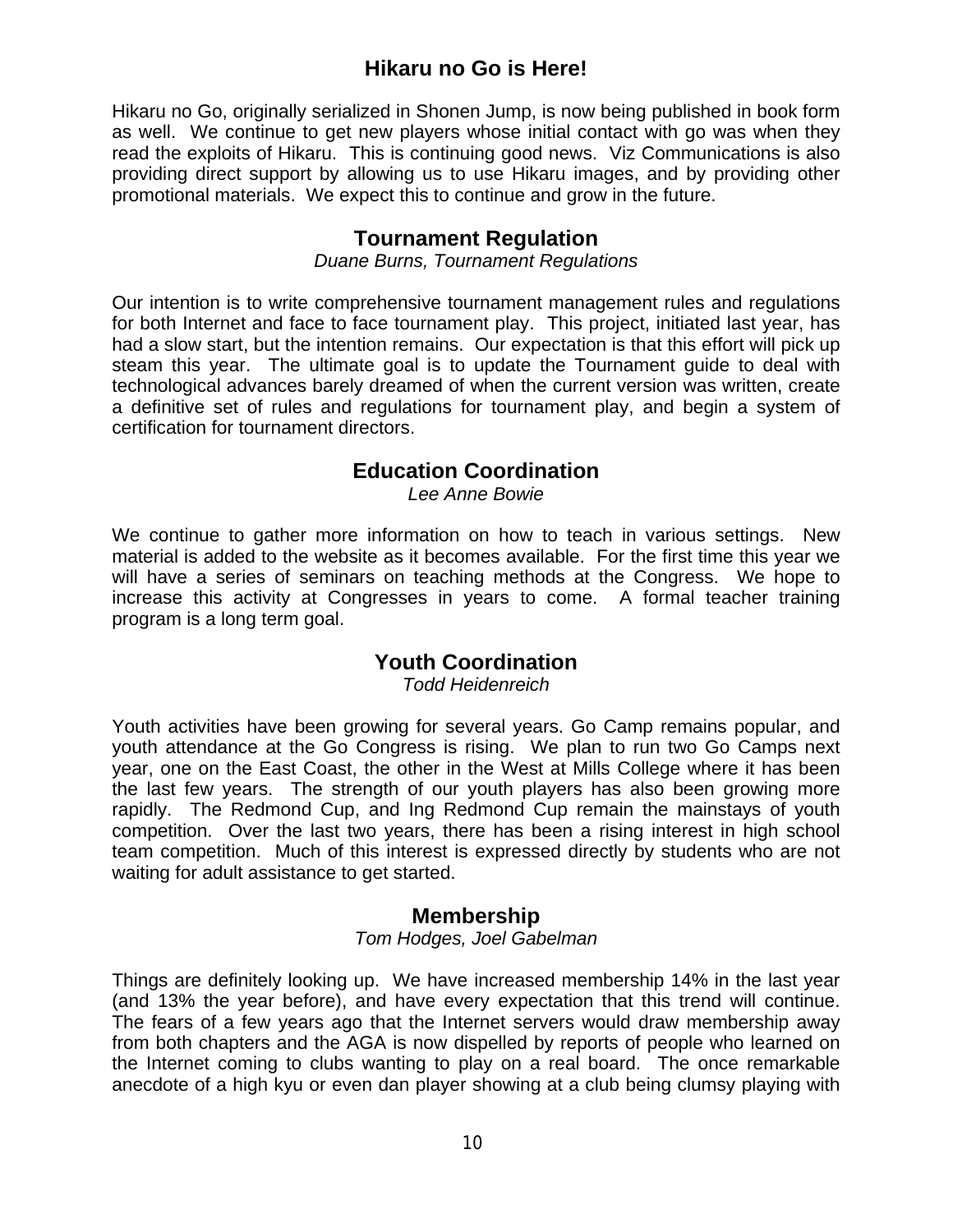# **Hikaru no Go is Here!**

Hikaru no Go, originally serialized in Shonen Jump, is now being published in book form as well. We continue to get new players whose initial contact with go was when they read the exploits of Hikaru. This is continuing good news. Viz Communications is also providing direct support by allowing us to use Hikaru images, and by providing other promotional materials. We expect this to continue and grow in the future.

### **Tournament Regulation**

#### *Duane Burns, Tournament Regulations*

Our intention is to write comprehensive tournament management rules and regulations for both Internet and face to face tournament play. This project, initiated last year, has had a slow start, but the intention remains. Our expectation is that this effort will pick up steam this year. The ultimate goal is to update the Tournament guide to deal with technological advances barely dreamed of when the current version was written, create a definitive set of rules and regulations for tournament play, and begin a system of certification for tournament directors.

# **Education Coordination**

*Lee Anne Bowie*

We continue to gather more information on how to teach in various settings. New material is added to the website as it becomes available. For the first time this year we will have a series of seminars on teaching methods at the Congress. We hope to increase this activity at Congresses in years to come. A formal teacher training program is a long term goal.

# **Youth Coordination**

*Todd Heidenreich*

Youth activities have been growing for several years. Go Camp remains popular, and youth attendance at the Go Congress is rising. We plan to run two Go Camps next year, one on the East Coast, the other in the West at Mills College where it has been the last few years. The strength of our youth players has also been growing more rapidly. The Redmond Cup, and Ing Redmond Cup remain the mainstays of youth competition. Over the last two years, there has been a rising interest in high school team competition. Much of this interest is expressed directly by students who are not waiting for adult assistance to get started.

### **Membership**

*Tom Hodges, Joel Gabelman*

Things are definitely looking up. We have increased membership 14% in the last year (and 13% the year before), and have every expectation that this trend will continue. The fears of a few years ago that the Internet servers would draw membership away from both chapters and the AGA is now dispelled by reports of people who learned on the Internet coming to clubs wanting to play on a real board. The once remarkable anecdote of a high kyu or even dan player showing at a club being clumsy playing with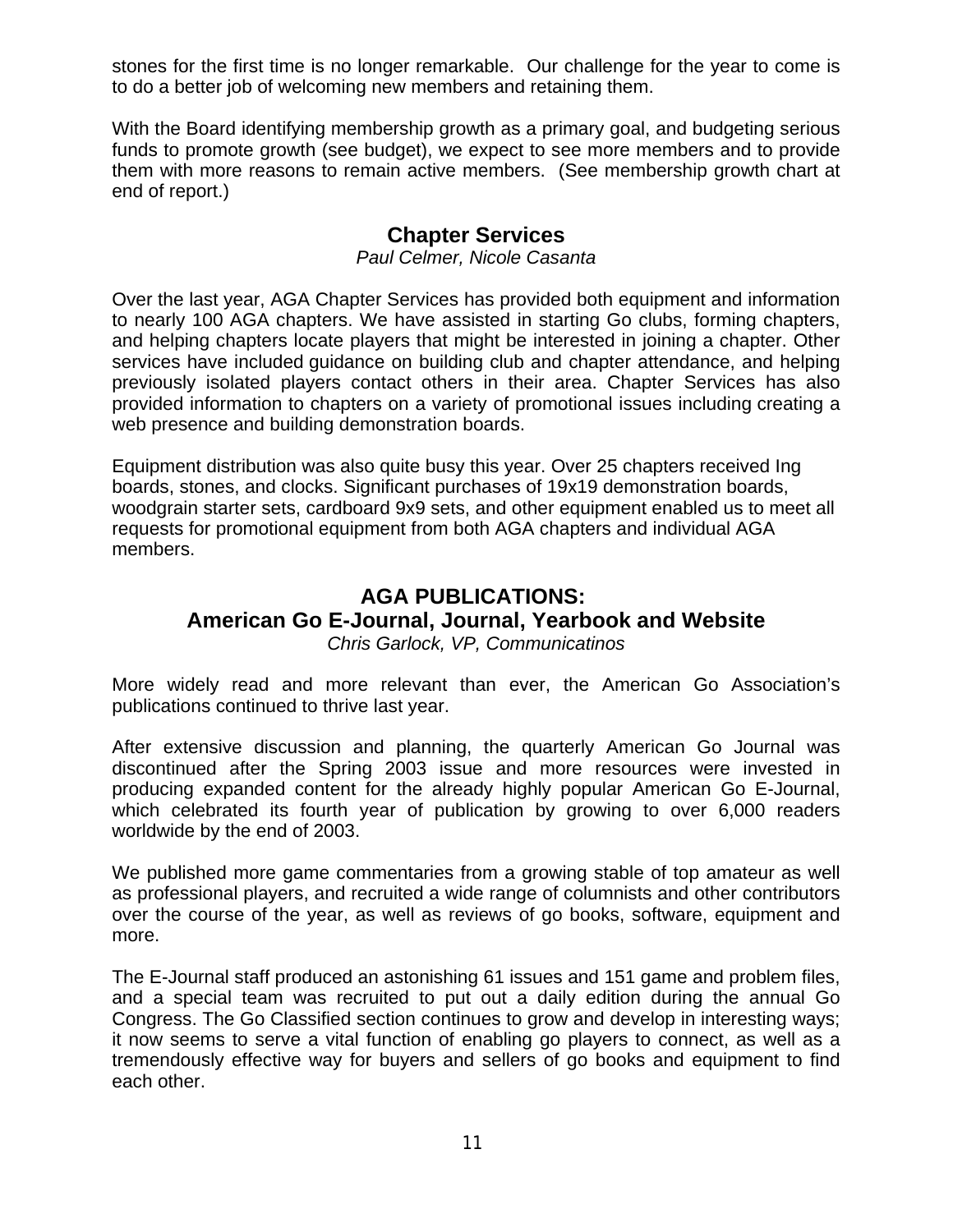stones for the first time is no longer remarkable. Our challenge for the year to come is to do a better job of welcoming new members and retaining them.

With the Board identifying membership growth as a primary goal, and budgeting serious funds to promote growth (see budget), we expect to see more members and to provide them with more reasons to remain active members. (See membership growth chart at end of report.)

# **Chapter Services**

*Paul Celmer, Nicole Casanta*

Over the last year, AGA Chapter Services has provided both equipment and information to nearly 100 AGA chapters. We have assisted in starting Go clubs, forming chapters, and helping chapters locate players that might be interested in joining a chapter. Other services have included guidance on building club and chapter attendance, and helping previously isolated players contact others in their area. Chapter Services has also provided information to chapters on a variety of promotional issues including creating a web presence and building demonstration boards.

Equipment distribution was also quite busy this year. Over 25 chapters received Ing boards, stones, and clocks. Significant purchases of 19x19 demonstration boards, woodgrain starter sets, cardboard 9x9 sets, and other equipment enabled us to meet all requests for promotional equipment from both AGA chapters and individual AGA members.

#### **AGA PUBLICATIONS: American Go E-Journal, Journal, Yearbook and Website** *Chris Garlock, VP, Communicatinos*

More widely read and more relevant than ever, the American Go Association's publications continued to thrive last year.

After extensive discussion and planning, the quarterly American Go Journal was discontinued after the Spring 2003 issue and more resources were invested in producing expanded content for the already highly popular American Go E-Journal, which celebrated its fourth year of publication by growing to over 6,000 readers worldwide by the end of 2003.

We published more game commentaries from a growing stable of top amateur as well as professional players, and recruited a wide range of columnists and other contributors over the course of the year, as well as reviews of go books, software, equipment and more.

The E-Journal staff produced an astonishing 61 issues and 151 game and problem files, and a special team was recruited to put out a daily edition during the annual Go Congress. The Go Classified section continues to grow and develop in interesting ways; it now seems to serve a vital function of enabling go players to connect, as well as a tremendously effective way for buyers and sellers of go books and equipment to find each other.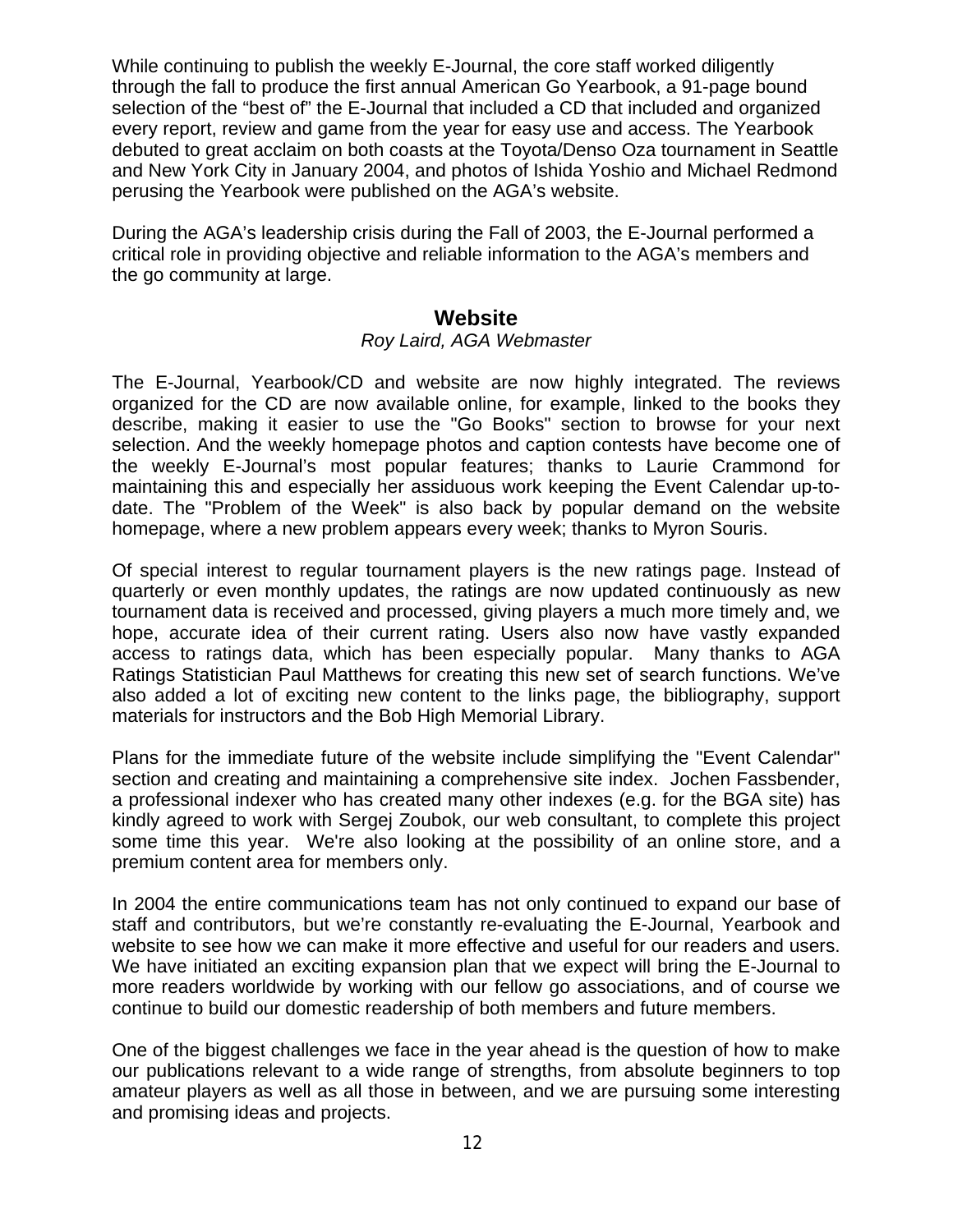While continuing to publish the weekly E-Journal, the core staff worked diligently through the fall to produce the first annual American Go Yearbook, a 91-page bound selection of the "best of" the E-Journal that included a CD that included and organized every report, review and game from the year for easy use and access. The Yearbook debuted to great acclaim on both coasts at the Toyota/Denso Oza tournament in Seattle and New York City in January 2004, and photos of Ishida Yoshio and Michael Redmond perusing the Yearbook were published on the AGA's website.

During the AGA's leadership crisis during the Fall of 2003, the E-Journal performed a critical role in providing objective and reliable information to the AGA's members and the go community at large.

### **Website**

#### *Roy Laird, AGA Webmaster*

The E-Journal, Yearbook/CD and website are now highly integrated. The reviews organized for the CD are now available online, for example, linked to the books they describe, making it easier to use the "Go Books" section to browse for your next selection. And the weekly homepage photos and caption contests have become one of the weekly E-Journal's most popular features; thanks to Laurie Crammond for maintaining this and especially her assiduous work keeping the Event Calendar up-todate. The "Problem of the Week" is also back by popular demand on the website homepage, where a new problem appears every week; thanks to Myron Souris.

Of special interest to regular tournament players is the new ratings page. Instead of quarterly or even monthly updates, the ratings are now updated continuously as new tournament data is received and processed, giving players a much more timely and, we hope, accurate idea of their current rating. Users also now have vastly expanded access to ratings data, which has been especially popular. Many thanks to AGA Ratings Statistician Paul Matthews for creating this new set of search functions. We've also added a lot of exciting new content to the links page, the bibliography, support materials for instructors and the Bob High Memorial Library.

Plans for the immediate future of the website include simplifying the "Event Calendar" section and creating and maintaining a comprehensive site index. Jochen Fassbender, a professional indexer who has created many other indexes (e.g. for the BGA site) has kindly agreed to work with Sergej Zoubok, our web consultant, to complete this project some time this year. We're also looking at the possibility of an online store, and a premium content area for members only.

In 2004 the entire communications team has not only continued to expand our base of staff and contributors, but we're constantly re-evaluating the E-Journal, Yearbook and website to see how we can make it more effective and useful for our readers and users. We have initiated an exciting expansion plan that we expect will bring the E-Journal to more readers worldwide by working with our fellow go associations, and of course we continue to build our domestic readership of both members and future members.

One of the biggest challenges we face in the year ahead is the question of how to make our publications relevant to a wide range of strengths, from absolute beginners to top amateur players as well as all those in between, and we are pursuing some interesting and promising ideas and projects.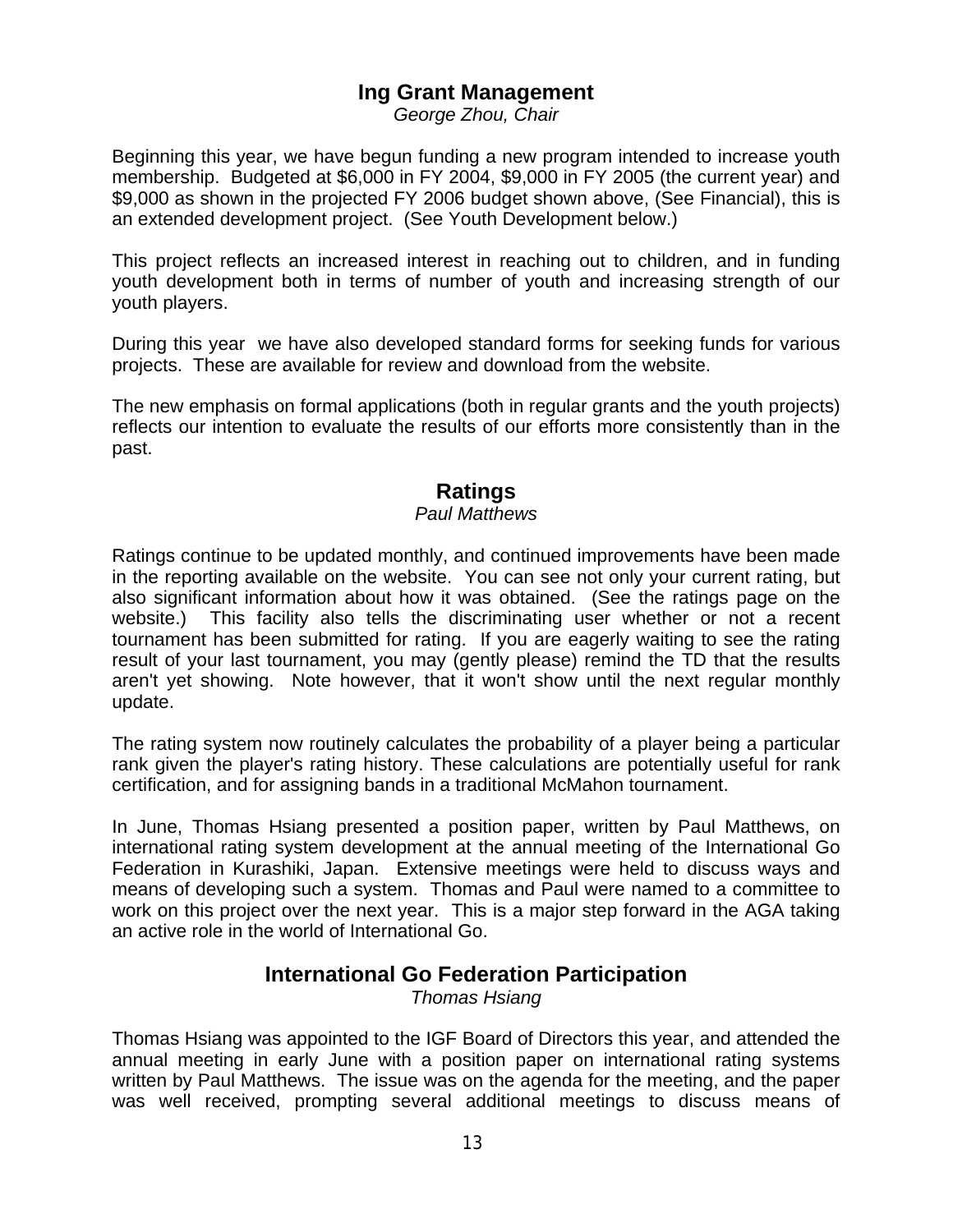# **Ing Grant Management**

*George Zhou, Chair*

Beginning this year, we have begun funding a new program intended to increase youth membership. Budgeted at \$6,000 in FY 2004, \$9,000 in FY 2005 (the current year) and \$9,000 as shown in the projected FY 2006 budget shown above, (See Financial), this is an extended development project. (See Youth Development below.)

This project reflects an increased interest in reaching out to children, and in funding youth development both in terms of number of youth and increasing strength of our youth players.

During this year we have also developed standard forms for seeking funds for various projects. These are available for review and download from the website.

The new emphasis on formal applications (both in regular grants and the youth projects) reflects our intention to evaluate the results of our efforts more consistently than in the past.

# **Ratings**

#### *Paul Matthews*

Ratings continue to be updated monthly, and continued improvements have been made in the reporting available on the website. You can see not only your current rating, but also significant information about how it was obtained. (See the ratings page on the website.) This facility also tells the discriminating user whether or not a recent tournament has been submitted for rating. If you are eagerly waiting to see the rating result of your last tournament, you may (gently please) remind the TD that the results aren't yet showing. Note however, that it won't show until the next regular monthly update.

The rating system now routinely calculates the probability of a player being a particular rank given the player's rating history. These calculations are potentially useful for rank certification, and for assigning bands in a traditional McMahon tournament.

In June, Thomas Hsiang presented a position paper, written by Paul Matthews, on international rating system development at the annual meeting of the International Go Federation in Kurashiki, Japan. Extensive meetings were held to discuss ways and means of developing such a system. Thomas and Paul were named to a committee to work on this project over the next year. This is a major step forward in the AGA taking an active role in the world of International Go.

### **International Go Federation Participation**

*Thomas Hsiang*

Thomas Hsiang was appointed to the IGF Board of Directors this year, and attended the annual meeting in early June with a position paper on international rating systems written by Paul Matthews. The issue was on the agenda for the meeting, and the paper was well received, prompting several additional meetings to discuss means of